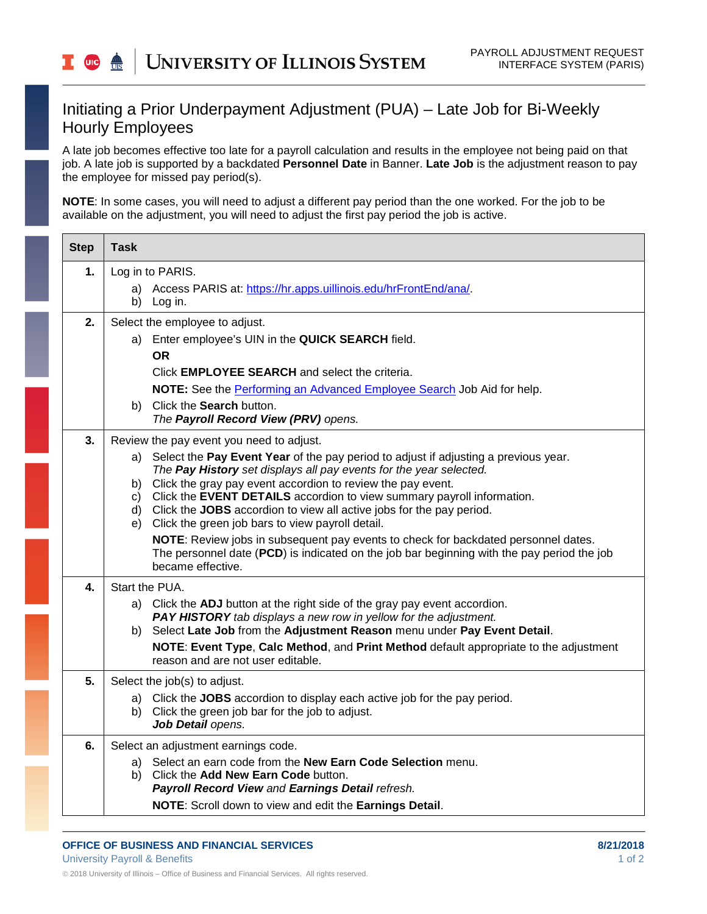## Initiating a Prior Underpayment Adjustment (PUA) – Late Job for Bi-Weekly Hourly Employees

A late job becomes effective too late for a payroll calculation and results in the employee not being paid on that job. A late job is supported by a backdated **Personnel Date** in Banner. **Late Job** is the adjustment reason to pay the employee for missed pay period(s).

**NOTE**: In some cases, you will need to adjust a different pay period than the one worked. For the job to be available on the adjustment, you will need to adjust the first pay period the job is active.

| <b>Step</b> | <b>Task</b>                                                                                                                                    |
|-------------|------------------------------------------------------------------------------------------------------------------------------------------------|
| 1.          | Log in to PARIS.                                                                                                                               |
|             | Access PARIS at: https://hr.apps.uillinois.edu/hrFrontEnd/ana/.<br>b) Log in.                                                                  |
| 2.          | Select the employee to adjust.                                                                                                                 |
|             | a) Enter employee's UIN in the QUICK SEARCH field.                                                                                             |
|             | <b>OR</b>                                                                                                                                      |
|             | Click <b>EMPLOYEE SEARCH</b> and select the criteria.                                                                                          |
|             | NOTE: See the Performing an Advanced Employee Search Job Aid for help.                                                                         |
|             | Click the Search button.<br>b)<br>The Payroll Record View (PRV) opens.                                                                         |
| 3.          | Review the pay event you need to adjust.                                                                                                       |
|             | a) Select the Pay Event Year of the pay period to adjust if adjusting a previous year.                                                         |
|             | The Pay History set displays all pay events for the year selected.<br>b) Click the gray pay event accordion to review the pay event.           |
|             | c) Click the EVENT DETAILS accordion to view summary payroll information.                                                                      |
|             | d) Click the JOBS accordion to view all active jobs for the pay period.<br>e) Click the green job bars to view payroll detail.                 |
|             | NOTE: Review jobs in subsequent pay events to check for backdated personnel dates.                                                             |
|             | The personnel date (PCD) is indicated on the job bar beginning with the pay period the job<br>became effective.                                |
| 4.          | Start the PUA.                                                                                                                                 |
|             | a) Click the ADJ button at the right side of the gray pay event accordion.<br>PAY HISTORY tab displays a new row in yellow for the adjustment. |
|             | b) Select Late Job from the Adjustment Reason menu under Pay Event Detail.                                                                     |
|             | NOTE: Event Type, Calc Method, and Print Method default appropriate to the adjustment<br>reason and are not user editable.                     |
| 5.          | Select the job(s) to adjust.                                                                                                                   |
|             | a) Click the JOBS accordion to display each active job for the pay period.                                                                     |
|             | b) Click the green job bar for the job to adjust.<br>Job Detail opens.                                                                         |
| 6.          | Select an adjustment earnings code.                                                                                                            |
|             | a) Select an earn code from the New Earn Code Selection menu.                                                                                  |
|             | b) Click the Add New Earn Code button.<br>Payroll Record View and Earnings Detail refresh.                                                     |
|             | NOTE: Scroll down to view and edit the Earnings Detail.                                                                                        |
|             |                                                                                                                                                |